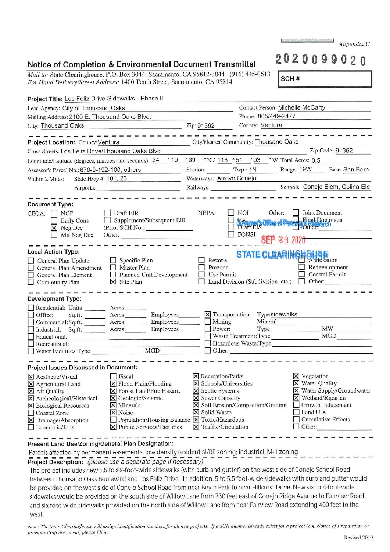| <i>Mail to:</i> State Clearinghouse, P.O. Box 3044, Sacramento, CA 95812-3044 (916) 445-0613<br>For Hand Delivery/Street Address: 1400 Tenth Street, Sacramento, CA 95814                                        |                                                                                                                                                            |                                                                                                              |                                                                                               | SCH#                                                                                                                                                                                                                           |                                        |  |
|------------------------------------------------------------------------------------------------------------------------------------------------------------------------------------------------------------------|------------------------------------------------------------------------------------------------------------------------------------------------------------|--------------------------------------------------------------------------------------------------------------|-----------------------------------------------------------------------------------------------|--------------------------------------------------------------------------------------------------------------------------------------------------------------------------------------------------------------------------------|----------------------------------------|--|
| Project Title: Los Feliz Drive Sidewalks - Phase II                                                                                                                                                              |                                                                                                                                                            |                                                                                                              |                                                                                               |                                                                                                                                                                                                                                |                                        |  |
| Lead Agency: City of Thousand Oaks                                                                                                                                                                               |                                                                                                                                                            |                                                                                                              | Contact Person: Michelle McCarty                                                              |                                                                                                                                                                                                                                |                                        |  |
| Mailing Address: 2100 E. Thousand Oaks Blvd.                                                                                                                                                                     |                                                                                                                                                            |                                                                                                              | Phone: 805/449-2477                                                                           |                                                                                                                                                                                                                                |                                        |  |
| City: Thousand Oaks                                                                                                                                                                                              |                                                                                                                                                            |                                                                                                              | County: Ventura<br>the company of the company of the company of the company of the company of |                                                                                                                                                                                                                                |                                        |  |
|                                                                                                                                                                                                                  | הם היה מכונים המודעים המודעים המודעים המודעים המודעים המודעים המודעים המודעים המודעים המודעים המודעים המודעים מ                                            |                                                                                                              |                                                                                               | and the the second control of the second control of the second control of the second control of the second control of the second control of the second control of the second control of the second control of the second contr |                                        |  |
| Project Location: County: Ventura                                                                                                                                                                                |                                                                                                                                                            |                                                                                                              | City/Nearest Community: Thousand Oaks                                                         |                                                                                                                                                                                                                                |                                        |  |
| Cross Streets: Los Feliz Drive/Thousand Oaks Blvd                                                                                                                                                                |                                                                                                                                                            |                                                                                                              |                                                                                               |                                                                                                                                                                                                                                | Zip Code: 91362                        |  |
| Longitude/Latitude (degrees, minutes and seconds): $34$ ° $10$ $39$ $\degree$ N / $118$ ° $51$ $\degree$ 03 $\degree$ W Total Acres: 0.5                                                                         |                                                                                                                                                            |                                                                                                              |                                                                                               |                                                                                                                                                                                                                                |                                        |  |
| Assessor's Parcel No.: 670-0-192-100, others                                                                                                                                                                     |                                                                                                                                                            |                                                                                                              |                                                                                               | Section: Twp.: 1N Range: 19W Base: San Bern                                                                                                                                                                                    |                                        |  |
| State Hwy #: 101, 23<br>Within 2 Miles:                                                                                                                                                                          | <u> Albanya di Barat di Barat di Barat di Barat di Barat di Barat di Barat di Barat di Barat di Barat di Barat di</u>                                      | Waterways: Arroyo Conejo                                                                                     |                                                                                               |                                                                                                                                                                                                                                |                                        |  |
|                                                                                                                                                                                                                  |                                                                                                                                                            |                                                                                                              |                                                                                               |                                                                                                                                                                                                                                |                                        |  |
|                                                                                                                                                                                                                  | -----------                                                                                                                                                |                                                                                                              |                                                                                               |                                                                                                                                                                                                                                |                                        |  |
| <b>Document Type:</b>                                                                                                                                                                                            |                                                                                                                                                            |                                                                                                              |                                                                                               |                                                                                                                                                                                                                                |                                        |  |
| $CEQA: \Box NP$<br>m<br><b>Early Cons</b><br>X Neg Dec<br>$\Box$ Mit Neg Dec                                                                                                                                     | $\Box$ Draft EIR<br>$\Box$ Supplement/Subsequent EIR<br>(Prior SCH No.)<br>Other:                                                                          | NEPA:                                                                                                        | $\Box$ NOI<br>FONSI                                                                           | Other:     Joint Document<br>BA WAS Office of Phanel Brings Einst Document<br><b>SEP 23 2020</b>                                                                                                                               |                                        |  |
| <b>Local Action Type:</b><br>General Plan Update<br>General Plan Amendment   Master Plan<br>$\Box$ General Plan Element<br>$\Box$ Community Plan                                                                 | $\Box$ Specific Plan<br>Planned Unit Development<br><b>X</b> Site Plan                                                                                     | Rezone<br>Prezone<br>$\Box$ Use Permit                                                                       |                                                                                               | STATE CLEARINGHQUEE<br>$\Box$ Land Division (Subdivision, etc.) $\Box$ Other:                                                                                                                                                  | Redevelopment<br><b>Coastal Permit</b> |  |
| <b>Development Type:</b>                                                                                                                                                                                         |                                                                                                                                                            |                                                                                                              |                                                                                               |                                                                                                                                                                                                                                |                                        |  |
| Residential: Units ________ Acres ______<br>Office:<br>□ Commercial:Sq.ft. ________ Acres ________ Employees _______ □ Mining:<br>□ Industrial: Sq.ft. Acres Employees Bernburg Employees Bower:<br>Educational: | $\Box$ Waste Treatment: Type $\Box$ MGD                                                                                                                    |                                                                                                              |                                                                                               | Mineral                                                                                                                                                                                                                        |                                        |  |
| Project Issues Discussed in Document:                                                                                                                                                                            |                                                                                                                                                            |                                                                                                              |                                                                                               | the and the collage and the collage and                                                                                                                                                                                        |                                        |  |
| X Aesthetic/Visual<br>X Agricultural Land<br>X Air Quality<br>X Archeological/Historical<br>X Biological Resources<br>$\Box$ Coastal Zone                                                                        | $\Box$ Fiscal<br>$\boxtimes$ Flood Plain/Flooding<br>X Forest Land/Fire Hazard<br>X Geologic/Seismic<br>$\times$ Minerals<br>$\overline{\mathsf{x}}$ Noise | X Recreation/Parks<br>X Schools/Universities<br><b>X</b> Septic Systems<br>X Sewer Capacity<br>X Solid Waste | $\overline{\mathsf{X}}$ Soil Erosion/Compaction/Grading                                       | <b>X</b> Vegetation<br>X Water Quality<br>X Wetland/Riparian<br>$\Box$ Growth Inducement<br>  Land Use                                                                                                                         | X Water Supply/Groundwater             |  |

Notice of Completion & Environmental Document Transmittal

Mail to: State Clearin For Hand Delivery/S.

Present Land Use/Zoning/General Plan Designation:

□ Coastal Zone

X Drainage/Absorption  $\Box$  Economic/Jobs

Parcels affected by permanent easements: low density residential/RE zoning; industrial, M-1 zoning

 $\Box$  Population/Housing Balance  $\Box$  Toxic/Hazardous

 $\boxed{\mathsf{X}}$  Public Services/Facilities  $\boxed{\mathsf{X}}$  Traffic/Circulation

Project Description: (please use a separate page if necessary)

The project includes new 5.5 to six-foot-wide sidewalks (with curb and gutter) on the west side of Conejo School Road between Thousand Oaks Boulevard and Los Feliz Drive. In addition, 5 to 5.5 foot-wide sidewalks with curb and gutter would be provided on the west side of Conejo School Road from near Beyer Park to near Hillcrest Drive. New six to 8-foot-wide sidewalks would be provided on the south side of Willow Lane from 750 feet east of Conejo Ridge Avenue to Fairview Road, and six foot-wide sidewalks provided on the north side of Willow Lane from near Fairview Road extending 400 feet to the west.

Note: The State Clearinghouse will assign identification numbers for all new projects. If a SCH number already exists for a project (e.g. Notice of Preparation or previous draft document) please fill in.

 $\Box$  Cumulative Effects

 $\Box$  Other:

 $Appendix C$ 

2020099020